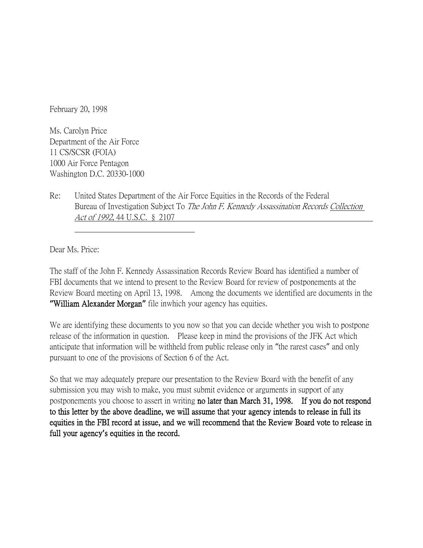February 20, 1998

Ms. Carolyn Price Department of the Air Force 11 CS/SCSR (FOIA) 1000 Air Force Pentagon Washington D.C. 20330-1000

Re: United States Department of the Air Force Equities in the Records of the Federal Bureau of Investigation Subject To *The John F. Kennedy Assassination Records Collection* Act of 1992, 44 U.S.C. § 2107

Dear Ms. Price:

The staff of the John F. Kennedy Assassination Records Review Board has identified a number of FBI documents that we intend to present to the Review Board for review of postponements at the Review Board meeting on April 13, 1998. Among the documents we identified are documents in the **"**William Alexander Morgan**"** file inwhich your agency has equities.

We are identifying these documents to you now so that you can decide whether you wish to postpone release of the information in question. Please keep in mind the provisions of the JFK Act which anticipate that information will be withheld from public release only in "the rarest cases" and only pursuant to one of the provisions of Section 6 of the Act.

So that we may adequately prepare our presentation to the Review Board with the benefit of any submission you may wish to make, you must submit evidence or arguments in support of any postponements you choose to assert in writing no later than March 31, 1998. If you do not respond to this letter by the above deadline, we will assume that your agency intends to release in full its equities in the FBI record at issue, and we will recommend that the Review Board vote to release in full your agency**'**s equities in the record.